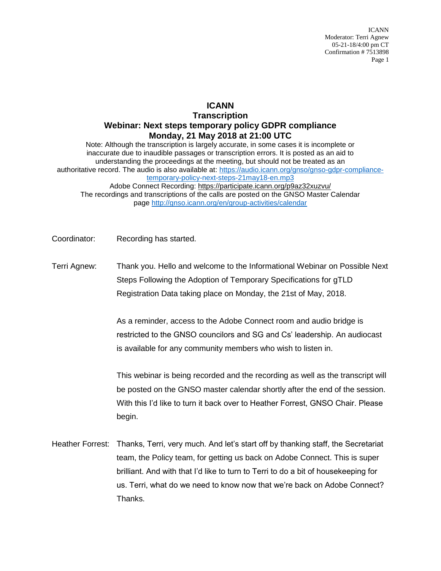ICANN Moderator: Terri Agnew 05-21-18/4:00 pm CT Confirmation # 7513898 Page 1

## **ICANN**

## **Transcription Webinar: Next steps temporary policy GDPR compliance Monday, 21 May 2018 at 21:00 UTC**

Note: Although the transcription is largely accurate, in some cases it is incomplete or inaccurate due to inaudible passages or transcription errors. It is posted as an aid to understanding the proceedings at the meeting, but should not be treated as an authoritative record. The audio is also available at: [https://audio.icann.org/gnso/gnso-gdpr-compliance](https://audio.icann.org/gnso/gnso-gdpr-compliance-temporary-policy-next-steps-21may18-en.mp3)[temporary-policy-next-steps-21may18-en.mp3](https://audio.icann.org/gnso/gnso-gdpr-compliance-temporary-policy-next-steps-21may18-en.mp3)

Adobe Connect Recording: [https://participate.icann.org/p9az32xuzvu/](https://participate.icann.org/p9az32xuzvu/?OWASP_CSRFTOKEN=0d56dfabb1e399a601c2e50edc78ad9da59687b5c9871332cbe14e6cd14c2cc8) The recordings and transcriptions of the calls are posted on the GNSO Master Calendar page<http://gnso.icann.org/en/group-activities/calendar>

- Coordinator: Recording has started.
- Terri Agnew: Thank you. Hello and welcome to the Informational Webinar on Possible Next Steps Following the Adoption of Temporary Specifications for gTLD Registration Data taking place on Monday, the 21st of May, 2018.

As a reminder, access to the Adobe Connect room and audio bridge is restricted to the GNSO councilors and SG and Cs' leadership. An audiocast is available for any community members who wish to listen in.

This webinar is being recorded and the recording as well as the transcript will be posted on the GNSO master calendar shortly after the end of the session. With this I'd like to turn it back over to Heather Forrest, GNSO Chair. Please begin.

Heather Forrest: Thanks, Terri, very much. And let's start off by thanking staff, the Secretariat team, the Policy team, for getting us back on Adobe Connect. This is super brilliant. And with that I'd like to turn to Terri to do a bit of housekeeping for us. Terri, what do we need to know now that we're back on Adobe Connect? Thanks.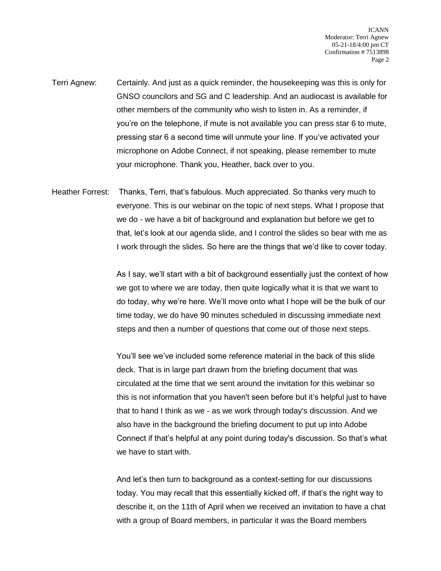- Terri Agnew: Certainly. And just as a quick reminder, the housekeeping was this is only for GNSO councilors and SG and C leadership. And an audiocast is available for other members of the community who wish to listen in. As a reminder, if you're on the telephone, if mute is not available you can press star 6 to mute, pressing star 6 a second time will unmute your line. If you've activated your microphone on Adobe Connect, if not speaking, please remember to mute your microphone. Thank you, Heather, back over to you.
- Heather Forrest: Thanks, Terri, that's fabulous. Much appreciated. So thanks very much to everyone. This is our webinar on the topic of next steps. What I propose that we do - we have a bit of background and explanation but before we get to that, let's look at our agenda slide, and I control the slides so bear with me as I work through the slides. So here are the things that we'd like to cover today.

As I say, we'll start with a bit of background essentially just the context of how we got to where we are today, then quite logically what it is that we want to do today, why we're here. We'll move onto what I hope will be the bulk of our time today, we do have 90 minutes scheduled in discussing immediate next steps and then a number of questions that come out of those next steps.

You'll see we've included some reference material in the back of this slide deck. That is in large part drawn from the briefing document that was circulated at the time that we sent around the invitation for this webinar so this is not information that you haven't seen before but it's helpful just to have that to hand I think as we - as we work through today's discussion. And we also have in the background the briefing document to put up into Adobe Connect if that's helpful at any point during today's discussion. So that's what we have to start with.

And let's then turn to background as a context-setting for our discussions today. You may recall that this essentially kicked off, if that's the right way to describe it, on the 11th of April when we received an invitation to have a chat with a group of Board members, in particular it was the Board members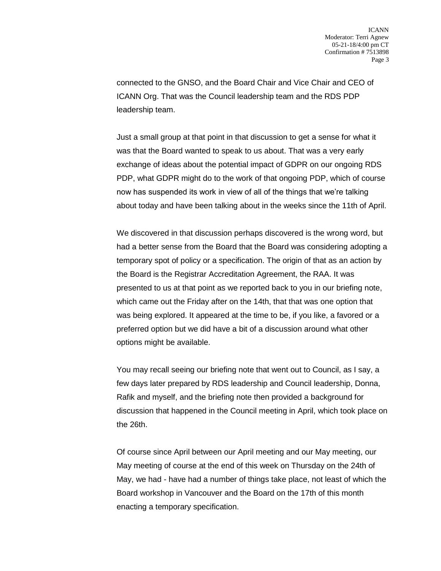connected to the GNSO, and the Board Chair and Vice Chair and CEO of ICANN Org. That was the Council leadership team and the RDS PDP leadership team.

Just a small group at that point in that discussion to get a sense for what it was that the Board wanted to speak to us about. That was a very early exchange of ideas about the potential impact of GDPR on our ongoing RDS PDP, what GDPR might do to the work of that ongoing PDP, which of course now has suspended its work in view of all of the things that we're talking about today and have been talking about in the weeks since the 11th of April.

We discovered in that discussion perhaps discovered is the wrong word, but had a better sense from the Board that the Board was considering adopting a temporary spot of policy or a specification. The origin of that as an action by the Board is the Registrar Accreditation Agreement, the RAA. It was presented to us at that point as we reported back to you in our briefing note, which came out the Friday after on the 14th, that that was one option that was being explored. It appeared at the time to be, if you like, a favored or a preferred option but we did have a bit of a discussion around what other options might be available.

You may recall seeing our briefing note that went out to Council, as I say, a few days later prepared by RDS leadership and Council leadership, Donna, Rafik and myself, and the briefing note then provided a background for discussion that happened in the Council meeting in April, which took place on the 26th.

Of course since April between our April meeting and our May meeting, our May meeting of course at the end of this week on Thursday on the 24th of May, we had - have had a number of things take place, not least of which the Board workshop in Vancouver and the Board on the 17th of this month enacting a temporary specification.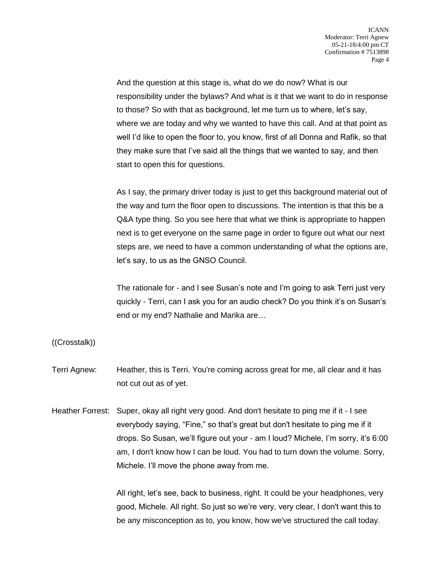And the question at this stage is, what do we do now? What is our responsibility under the bylaws? And what is it that we want to do in response to those? So with that as background, let me turn us to where, let's say, where we are today and why we wanted to have this call. And at that point as well I'd like to open the floor to, you know, first of all Donna and Rafik, so that they make sure that I've said all the things that we wanted to say, and then start to open this for questions.

As I say, the primary driver today is just to get this background material out of the way and turn the floor open to discussions. The intention is that this be a Q&A type thing. So you see here that what we think is appropriate to happen next is to get everyone on the same page in order to figure out what our next steps are, we need to have a common understanding of what the options are, let's say, to us as the GNSO Council.

The rationale for - and I see Susan's note and I'm going to ask Terri just very quickly - Terri, can I ask you for an audio check? Do you think it's on Susan's end or my end? Nathalie and Marika are…

((Crosstalk))

- Terri Agnew: Heather, this is Terri. You're coming across great for me, all clear and it has not cut out as of yet.
- Heather Forrest: Super, okay all right very good. And don't hesitate to ping me if it I see everybody saying, "Fine," so that's great but don't hesitate to ping me if it drops. So Susan, we'll figure out your - am I loud? Michele, I'm sorry, it's 6:00 am, I don't know how I can be loud. You had to turn down the volume. Sorry, Michele. I'll move the phone away from me.

All right, let's see, back to business, right. It could be your headphones, very good, Michele. All right. So just so we're very, very clear, I don't want this to be any misconception as to, you know, how we've structured the call today.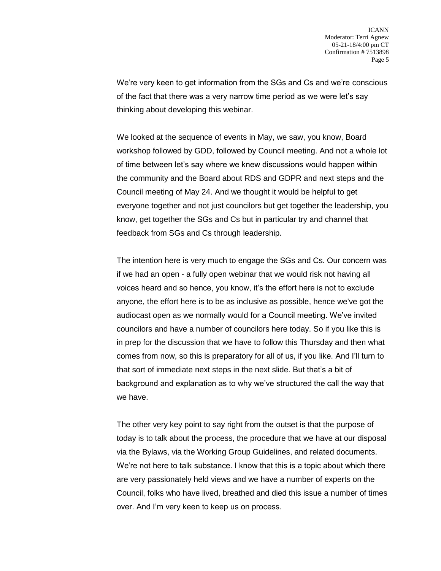We're very keen to get information from the SGs and Cs and we're conscious of the fact that there was a very narrow time period as we were let's say thinking about developing this webinar.

We looked at the sequence of events in May, we saw, you know, Board workshop followed by GDD, followed by Council meeting. And not a whole lot of time between let's say where we knew discussions would happen within the community and the Board about RDS and GDPR and next steps and the Council meeting of May 24. And we thought it would be helpful to get everyone together and not just councilors but get together the leadership, you know, get together the SGs and Cs but in particular try and channel that feedback from SGs and Cs through leadership.

The intention here is very much to engage the SGs and Cs. Our concern was if we had an open - a fully open webinar that we would risk not having all voices heard and so hence, you know, it's the effort here is not to exclude anyone, the effort here is to be as inclusive as possible, hence we've got the audiocast open as we normally would for a Council meeting. We've invited councilors and have a number of councilors here today. So if you like this is in prep for the discussion that we have to follow this Thursday and then what comes from now, so this is preparatory for all of us, if you like. And I'll turn to that sort of immediate next steps in the next slide. But that's a bit of background and explanation as to why we've structured the call the way that we have.

The other very key point to say right from the outset is that the purpose of today is to talk about the process, the procedure that we have at our disposal via the Bylaws, via the Working Group Guidelines, and related documents. We're not here to talk substance. I know that this is a topic about which there are very passionately held views and we have a number of experts on the Council, folks who have lived, breathed and died this issue a number of times over. And I'm very keen to keep us on process.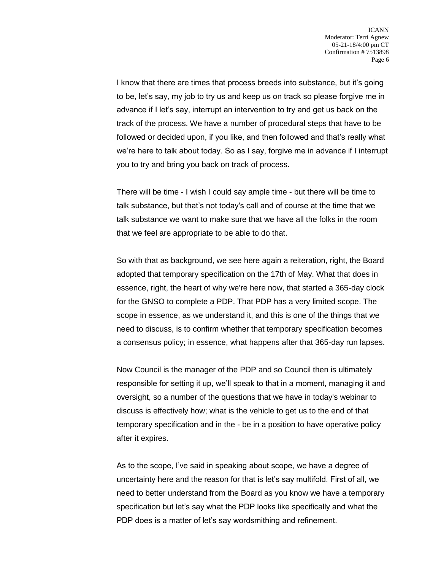I know that there are times that process breeds into substance, but it's going to be, let's say, my job to try us and keep us on track so please forgive me in advance if I let's say, interrupt an intervention to try and get us back on the track of the process. We have a number of procedural steps that have to be followed or decided upon, if you like, and then followed and that's really what we're here to talk about today. So as I say, forgive me in advance if I interrupt you to try and bring you back on track of process.

There will be time - I wish I could say ample time - but there will be time to talk substance, but that's not today's call and of course at the time that we talk substance we want to make sure that we have all the folks in the room that we feel are appropriate to be able to do that.

So with that as background, we see here again a reiteration, right, the Board adopted that temporary specification on the 17th of May. What that does in essence, right, the heart of why we're here now, that started a 365-day clock for the GNSO to complete a PDP. That PDP has a very limited scope. The scope in essence, as we understand it, and this is one of the things that we need to discuss, is to confirm whether that temporary specification becomes a consensus policy; in essence, what happens after that 365-day run lapses.

Now Council is the manager of the PDP and so Council then is ultimately responsible for setting it up, we'll speak to that in a moment, managing it and oversight, so a number of the questions that we have in today's webinar to discuss is effectively how; what is the vehicle to get us to the end of that temporary specification and in the - be in a position to have operative policy after it expires.

As to the scope, I've said in speaking about scope, we have a degree of uncertainty here and the reason for that is let's say multifold. First of all, we need to better understand from the Board as you know we have a temporary specification but let's say what the PDP looks like specifically and what the PDP does is a matter of let's say wordsmithing and refinement.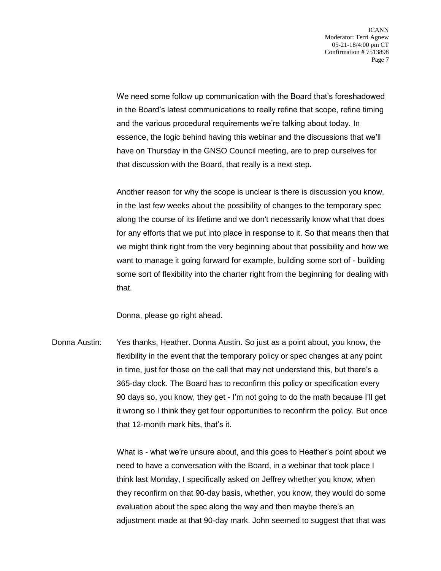We need some follow up communication with the Board that's foreshadowed in the Board's latest communications to really refine that scope, refine timing and the various procedural requirements we're talking about today. In essence, the logic behind having this webinar and the discussions that we'll have on Thursday in the GNSO Council meeting, are to prep ourselves for that discussion with the Board, that really is a next step.

Another reason for why the scope is unclear is there is discussion you know, in the last few weeks about the possibility of changes to the temporary spec along the course of its lifetime and we don't necessarily know what that does for any efforts that we put into place in response to it. So that means then that we might think right from the very beginning about that possibility and how we want to manage it going forward for example, building some sort of - building some sort of flexibility into the charter right from the beginning for dealing with that.

Donna, please go right ahead.

Donna Austin: Yes thanks, Heather. Donna Austin. So just as a point about, you know, the flexibility in the event that the temporary policy or spec changes at any point in time, just for those on the call that may not understand this, but there's a 365-day clock. The Board has to reconfirm this policy or specification every 90 days so, you know, they get - I'm not going to do the math because I'll get it wrong so I think they get four opportunities to reconfirm the policy. But once that 12-month mark hits, that's it.

> What is - what we're unsure about, and this goes to Heather's point about we need to have a conversation with the Board, in a webinar that took place I think last Monday, I specifically asked on Jeffrey whether you know, when they reconfirm on that 90-day basis, whether, you know, they would do some evaluation about the spec along the way and then maybe there's an adjustment made at that 90-day mark. John seemed to suggest that that was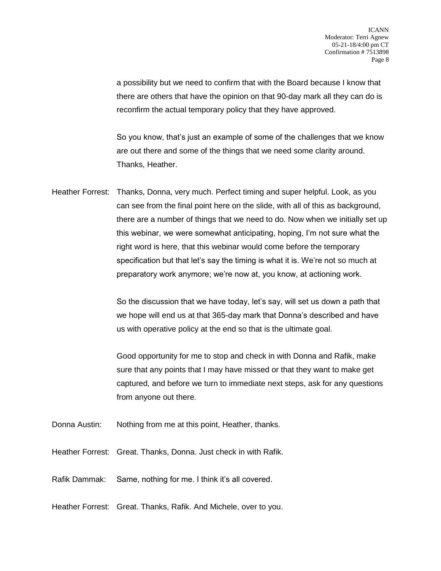a possibility but we need to confirm that with the Board because I know that there are others that have the opinion on that 90-day mark all they can do is reconfirm the actual temporary policy that they have approved.

So you know, that's just an example of some of the challenges that we know are out there and some of the things that we need some clarity around. Thanks, Heather.

Heather Forrest: Thanks, Donna, very much. Perfect timing and super helpful. Look, as you can see from the final point here on the slide, with all of this as background, there are a number of things that we need to do. Now when we initially set up this webinar, we were somewhat anticipating, hoping, I'm not sure what the right word is here, that this webinar would come before the temporary specification but that let's say the timing is what it is. We're not so much at preparatory work anymore; we're now at, you know, at actioning work.

> So the discussion that we have today, let's say, will set us down a path that we hope will end us at that 365-day mark that Donna's described and have us with operative policy at the end so that is the ultimate goal.

Good opportunity for me to stop and check in with Donna and Rafik, make sure that any points that I may have missed or that they want to make get captured, and before we turn to immediate next steps, ask for any questions from anyone out there.

- Donna Austin: Nothing from me at this point, Heather, thanks.
- Heather Forrest: Great. Thanks, Donna. Just check in with Rafik.

Rafik Dammak: Same, nothing for me. I think it's all covered.

Heather Forrest: Great. Thanks, Rafik. And Michele, over to you.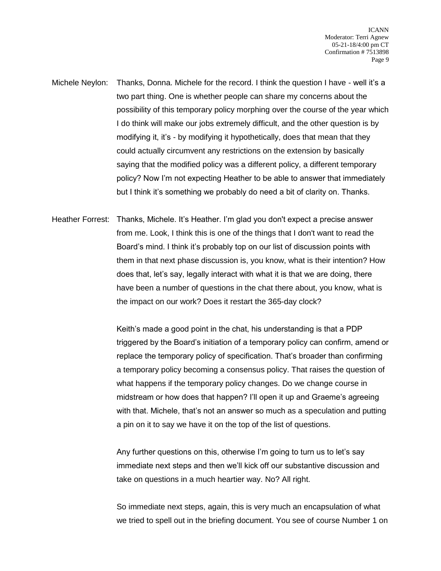- Michele Neylon: Thanks, Donna. Michele for the record. I think the question I have well it's a two part thing. One is whether people can share my concerns about the possibility of this temporary policy morphing over the course of the year which I do think will make our jobs extremely difficult, and the other question is by modifying it, it's - by modifying it hypothetically, does that mean that they could actually circumvent any restrictions on the extension by basically saying that the modified policy was a different policy, a different temporary policy? Now I'm not expecting Heather to be able to answer that immediately but I think it's something we probably do need a bit of clarity on. Thanks.
- Heather Forrest: Thanks, Michele. It's Heather. I'm glad you don't expect a precise answer from me. Look, I think this is one of the things that I don't want to read the Board's mind. I think it's probably top on our list of discussion points with them in that next phase discussion is, you know, what is their intention? How does that, let's say, legally interact with what it is that we are doing, there have been a number of questions in the chat there about, you know, what is the impact on our work? Does it restart the 365-day clock?

Keith's made a good point in the chat, his understanding is that a PDP triggered by the Board's initiation of a temporary policy can confirm, amend or replace the temporary policy of specification. That's broader than confirming a temporary policy becoming a consensus policy. That raises the question of what happens if the temporary policy changes. Do we change course in midstream or how does that happen? I'll open it up and Graeme's agreeing with that. Michele, that's not an answer so much as a speculation and putting a pin on it to say we have it on the top of the list of questions.

Any further questions on this, otherwise I'm going to turn us to let's say immediate next steps and then we'll kick off our substantive discussion and take on questions in a much heartier way. No? All right.

So immediate next steps, again, this is very much an encapsulation of what we tried to spell out in the briefing document. You see of course Number 1 on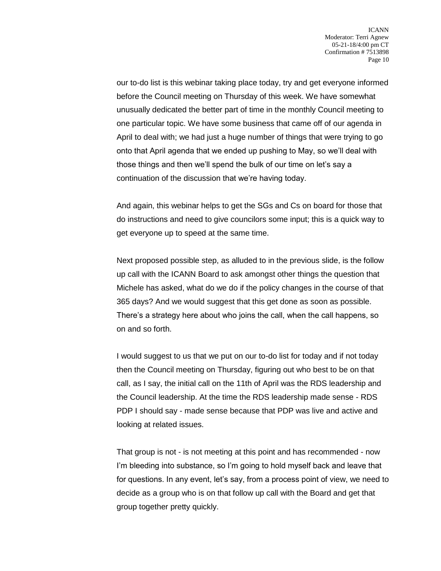ICANN Moderator: Terri Agnew 05-21-18/4:00 pm CT Confirmation # 7513898 Page 10

our to-do list is this webinar taking place today, try and get everyone informed before the Council meeting on Thursday of this week. We have somewhat unusually dedicated the better part of time in the monthly Council meeting to one particular topic. We have some business that came off of our agenda in April to deal with; we had just a huge number of things that were trying to go onto that April agenda that we ended up pushing to May, so we'll deal with those things and then we'll spend the bulk of our time on let's say a continuation of the discussion that we're having today.

And again, this webinar helps to get the SGs and Cs on board for those that do instructions and need to give councilors some input; this is a quick way to get everyone up to speed at the same time.

Next proposed possible step, as alluded to in the previous slide, is the follow up call with the ICANN Board to ask amongst other things the question that Michele has asked, what do we do if the policy changes in the course of that 365 days? And we would suggest that this get done as soon as possible. There's a strategy here about who joins the call, when the call happens, so on and so forth.

I would suggest to us that we put on our to-do list for today and if not today then the Council meeting on Thursday, figuring out who best to be on that call, as I say, the initial call on the 11th of April was the RDS leadership and the Council leadership. At the time the RDS leadership made sense - RDS PDP I should say - made sense because that PDP was live and active and looking at related issues.

That group is not - is not meeting at this point and has recommended - now I'm bleeding into substance, so I'm going to hold myself back and leave that for questions. In any event, let's say, from a process point of view, we need to decide as a group who is on that follow up call with the Board and get that group together pretty quickly.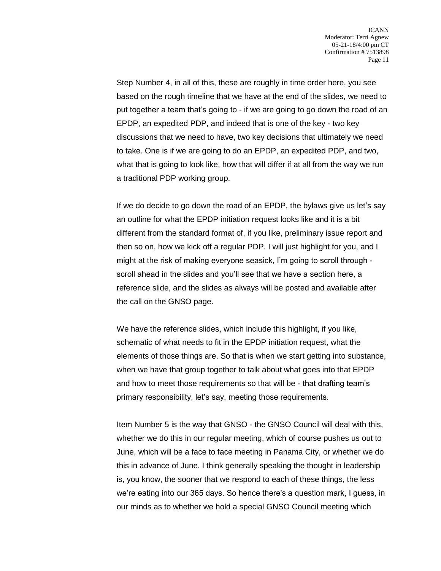Step Number 4, in all of this, these are roughly in time order here, you see based on the rough timeline that we have at the end of the slides, we need to put together a team that's going to - if we are going to go down the road of an EPDP, an expedited PDP, and indeed that is one of the key - two key discussions that we need to have, two key decisions that ultimately we need to take. One is if we are going to do an EPDP, an expedited PDP, and two, what that is going to look like, how that will differ if at all from the way we run a traditional PDP working group.

If we do decide to go down the road of an EPDP, the bylaws give us let's say an outline for what the EPDP initiation request looks like and it is a bit different from the standard format of, if you like, preliminary issue report and then so on, how we kick off a regular PDP. I will just highlight for you, and I might at the risk of making everyone seasick, I'm going to scroll through scroll ahead in the slides and you'll see that we have a section here, a reference slide, and the slides as always will be posted and available after the call on the GNSO page.

We have the reference slides, which include this highlight, if you like, schematic of what needs to fit in the EPDP initiation request, what the elements of those things are. So that is when we start getting into substance, when we have that group together to talk about what goes into that EPDP and how to meet those requirements so that will be - that drafting team's primary responsibility, let's say, meeting those requirements.

Item Number 5 is the way that GNSO - the GNSO Council will deal with this, whether we do this in our regular meeting, which of course pushes us out to June, which will be a face to face meeting in Panama City, or whether we do this in advance of June. I think generally speaking the thought in leadership is, you know, the sooner that we respond to each of these things, the less we're eating into our 365 days. So hence there's a question mark, I guess, in our minds as to whether we hold a special GNSO Council meeting which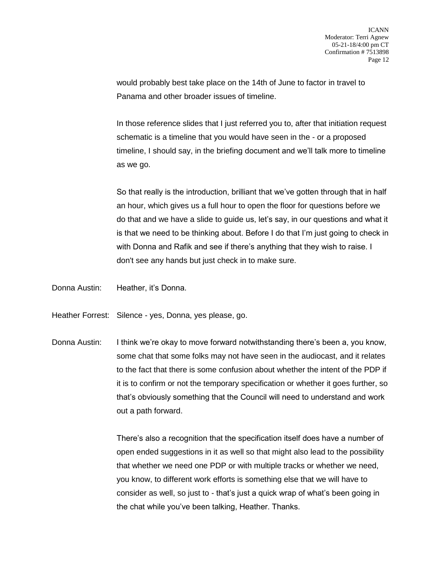would probably best take place on the 14th of June to factor in travel to Panama and other broader issues of timeline.

In those reference slides that I just referred you to, after that initiation request schematic is a timeline that you would have seen in the - or a proposed timeline, I should say, in the briefing document and we'll talk more to timeline as we go.

So that really is the introduction, brilliant that we've gotten through that in half an hour, which gives us a full hour to open the floor for questions before we do that and we have a slide to guide us, let's say, in our questions and what it is that we need to be thinking about. Before I do that I'm just going to check in with Donna and Rafik and see if there's anything that they wish to raise. I don't see any hands but just check in to make sure.

Donna Austin: Heather, it's Donna.

Heather Forrest: Silence - yes, Donna, yes please, go.

Donna Austin: I think we're okay to move forward notwithstanding there's been a, you know, some chat that some folks may not have seen in the audiocast, and it relates to the fact that there is some confusion about whether the intent of the PDP if it is to confirm or not the temporary specification or whether it goes further, so that's obviously something that the Council will need to understand and work out a path forward.

> There's also a recognition that the specification itself does have a number of open ended suggestions in it as well so that might also lead to the possibility that whether we need one PDP or with multiple tracks or whether we need, you know, to different work efforts is something else that we will have to consider as well, so just to - that's just a quick wrap of what's been going in the chat while you've been talking, Heather. Thanks.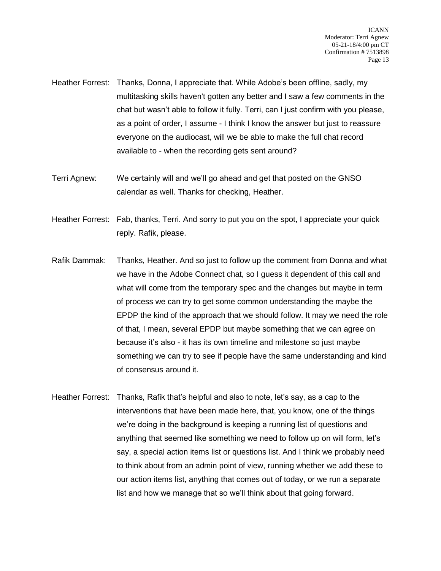- Heather Forrest: Thanks, Donna, I appreciate that. While Adobe's been offline, sadly, my multitasking skills haven't gotten any better and I saw a few comments in the chat but wasn't able to follow it fully. Terri, can I just confirm with you please, as a point of order, I assume - I think I know the answer but just to reassure everyone on the audiocast, will we be able to make the full chat record available to - when the recording gets sent around?
- Terri Agnew: We certainly will and we'll go ahead and get that posted on the GNSO calendar as well. Thanks for checking, Heather.
- Heather Forrest: Fab, thanks, Terri. And sorry to put you on the spot, I appreciate your quick reply. Rafik, please.
- Rafik Dammak: Thanks, Heather. And so just to follow up the comment from Donna and what we have in the Adobe Connect chat, so I guess it dependent of this call and what will come from the temporary spec and the changes but maybe in term of process we can try to get some common understanding the maybe the EPDP the kind of the approach that we should follow. It may we need the role of that, I mean, several EPDP but maybe something that we can agree on because it's also - it has its own timeline and milestone so just maybe something we can try to see if people have the same understanding and kind of consensus around it.
- Heather Forrest: Thanks, Rafik that's helpful and also to note, let's say, as a cap to the interventions that have been made here, that, you know, one of the things we're doing in the background is keeping a running list of questions and anything that seemed like something we need to follow up on will form, let's say, a special action items list or questions list. And I think we probably need to think about from an admin point of view, running whether we add these to our action items list, anything that comes out of today, or we run a separate list and how we manage that so we'll think about that going forward.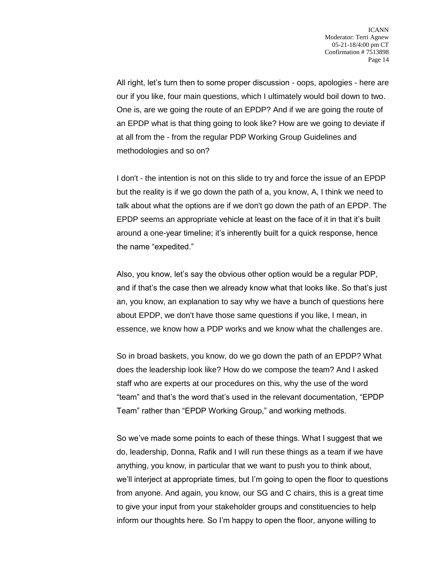All right, let's turn then to some proper discussion - oops, apologies - here are our if you like, four main questions, which I ultimately would boil down to two. One is, are we going the route of an EPDP? And if we are going the route of an EPDP what is that thing going to look like? How are we going to deviate if at all from the - from the regular PDP Working Group Guidelines and methodologies and so on?

I don't - the intention is not on this slide to try and force the issue of an EPDP but the reality is if we go down the path of a, you know, A, I think we need to talk about what the options are if we don't go down the path of an EPDP. The EPDP seems an appropriate vehicle at least on the face of it in that it's built around a one-year timeline; it's inherently built for a quick response, hence the name "expedited."

Also, you know, let's say the obvious other option would be a regular PDP, and if that's the case then we already know what that looks like. So that's just an, you know, an explanation to say why we have a bunch of questions here about EPDP, we don't have those same questions if you like, I mean, in essence, we know how a PDP works and we know what the challenges are.

So in broad baskets, you know, do we go down the path of an EPDP? What does the leadership look like? How do we compose the team? And I asked staff who are experts at our procedures on this, why the use of the word "team" and that's the word that's used in the relevant documentation, "EPDP Team" rather than "EPDP Working Group," and working methods.

So we've made some points to each of these things. What I suggest that we do, leadership, Donna, Rafik and I will run these things as a team if we have anything, you know, in particular that we want to push you to think about, we'll interject at appropriate times, but I'm going to open the floor to questions from anyone. And again, you know, our SG and C chairs, this is a great time to give your input from your stakeholder groups and constituencies to help inform our thoughts here. So I'm happy to open the floor, anyone willing to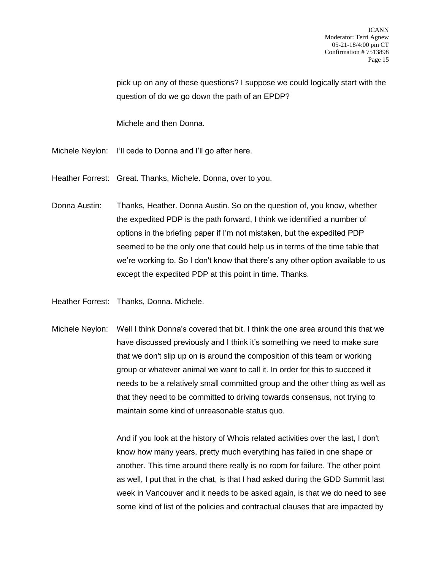pick up on any of these questions? I suppose we could logically start with the question of do we go down the path of an EPDP?

Michele and then Donna.

- Michele Neylon: I'll cede to Donna and I'll go after here.
- Heather Forrest: Great. Thanks, Michele. Donna, over to you.
- Donna Austin: Thanks, Heather. Donna Austin. So on the question of, you know, whether the expedited PDP is the path forward, I think we identified a number of options in the briefing paper if I'm not mistaken, but the expedited PDP seemed to be the only one that could help us in terms of the time table that we're working to. So I don't know that there's any other option available to us except the expedited PDP at this point in time. Thanks.
- Heather Forrest: Thanks, Donna. Michele.
- Michele Neylon: Well I think Donna's covered that bit. I think the one area around this that we have discussed previously and I think it's something we need to make sure that we don't slip up on is around the composition of this team or working group or whatever animal we want to call it. In order for this to succeed it needs to be a relatively small committed group and the other thing as well as that they need to be committed to driving towards consensus, not trying to maintain some kind of unreasonable status quo.

And if you look at the history of Whois related activities over the last, I don't know how many years, pretty much everything has failed in one shape or another. This time around there really is no room for failure. The other point as well, I put that in the chat, is that I had asked during the GDD Summit last week in Vancouver and it needs to be asked again, is that we do need to see some kind of list of the policies and contractual clauses that are impacted by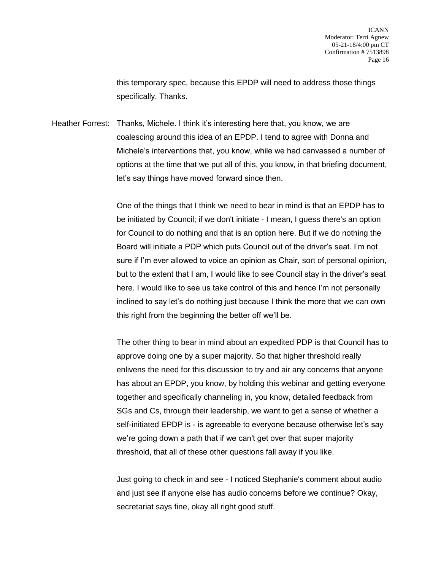this temporary spec, because this EPDP will need to address those things specifically. Thanks.

Heather Forrest: Thanks, Michele. I think it's interesting here that, you know, we are coalescing around this idea of an EPDP. I tend to agree with Donna and Michele's interventions that, you know, while we had canvassed a number of options at the time that we put all of this, you know, in that briefing document, let's say things have moved forward since then.

> One of the things that I think we need to bear in mind is that an EPDP has to be initiated by Council; if we don't initiate - I mean, I guess there's an option for Council to do nothing and that is an option here. But if we do nothing the Board will initiate a PDP which puts Council out of the driver's seat. I'm not sure if I'm ever allowed to voice an opinion as Chair, sort of personal opinion, but to the extent that I am, I would like to see Council stay in the driver's seat here. I would like to see us take control of this and hence I'm not personally inclined to say let's do nothing just because I think the more that we can own this right from the beginning the better off we'll be.

> The other thing to bear in mind about an expedited PDP is that Council has to approve doing one by a super majority. So that higher threshold really enlivens the need for this discussion to try and air any concerns that anyone has about an EPDP, you know, by holding this webinar and getting everyone together and specifically channeling in, you know, detailed feedback from SGs and Cs, through their leadership, we want to get a sense of whether a self-initiated EPDP is - is agreeable to everyone because otherwise let's say we're going down a path that if we can't get over that super majority threshold, that all of these other questions fall away if you like.

Just going to check in and see - I noticed Stephanie's comment about audio and just see if anyone else has audio concerns before we continue? Okay, secretariat says fine, okay all right good stuff.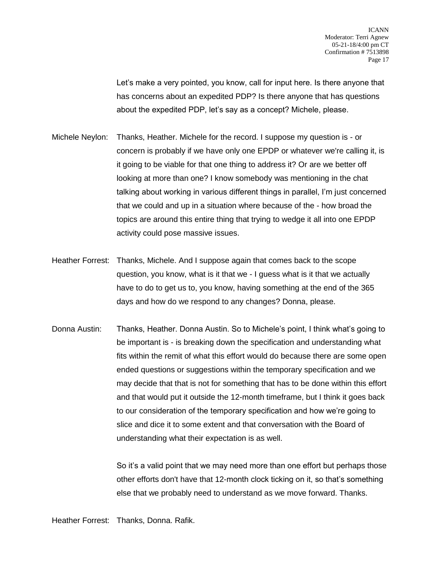Let's make a very pointed, you know, call for input here. Is there anyone that has concerns about an expedited PDP? Is there anyone that has questions about the expedited PDP, let's say as a concept? Michele, please.

- Michele Neylon: Thanks, Heather. Michele for the record. I suppose my question is or concern is probably if we have only one EPDP or whatever we're calling it, is it going to be viable for that one thing to address it? Or are we better off looking at more than one? I know somebody was mentioning in the chat talking about working in various different things in parallel, I'm just concerned that we could and up in a situation where because of the - how broad the topics are around this entire thing that trying to wedge it all into one EPDP activity could pose massive issues.
- Heather Forrest: Thanks, Michele. And I suppose again that comes back to the scope question, you know, what is it that we - I guess what is it that we actually have to do to get us to, you know, having something at the end of the 365 days and how do we respond to any changes? Donna, please.
- Donna Austin: Thanks, Heather. Donna Austin. So to Michele's point, I think what's going to be important is - is breaking down the specification and understanding what fits within the remit of what this effort would do because there are some open ended questions or suggestions within the temporary specification and we may decide that that is not for something that has to be done within this effort and that would put it outside the 12-month timeframe, but I think it goes back to our consideration of the temporary specification and how we're going to slice and dice it to some extent and that conversation with the Board of understanding what their expectation is as well.

So it's a valid point that we may need more than one effort but perhaps those other efforts don't have that 12-month clock ticking on it, so that's something else that we probably need to understand as we move forward. Thanks.

Heather Forrest: Thanks, Donna. Rafik.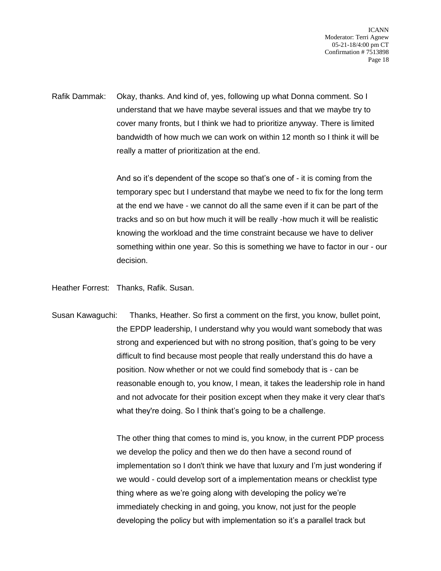ICANN Moderator: Terri Agnew 05-21-18/4:00 pm CT Confirmation # 7513898 Page 18

Rafik Dammak: Okay, thanks. And kind of, yes, following up what Donna comment. So I understand that we have maybe several issues and that we maybe try to cover many fronts, but I think we had to prioritize anyway. There is limited bandwidth of how much we can work on within 12 month so I think it will be really a matter of prioritization at the end.

> And so it's dependent of the scope so that's one of - it is coming from the temporary spec but I understand that maybe we need to fix for the long term at the end we have - we cannot do all the same even if it can be part of the tracks and so on but how much it will be really -how much it will be realistic knowing the workload and the time constraint because we have to deliver something within one year. So this is something we have to factor in our - our decision.

Heather Forrest: Thanks, Rafik. Susan.

Susan Kawaguchi: Thanks, Heather. So first a comment on the first, you know, bullet point, the EPDP leadership, I understand why you would want somebody that was strong and experienced but with no strong position, that's going to be very difficult to find because most people that really understand this do have a position. Now whether or not we could find somebody that is - can be reasonable enough to, you know, I mean, it takes the leadership role in hand and not advocate for their position except when they make it very clear that's what they're doing. So I think that's going to be a challenge.

> The other thing that comes to mind is, you know, in the current PDP process we develop the policy and then we do then have a second round of implementation so I don't think we have that luxury and I'm just wondering if we would - could develop sort of a implementation means or checklist type thing where as we're going along with developing the policy we're immediately checking in and going, you know, not just for the people developing the policy but with implementation so it's a parallel track but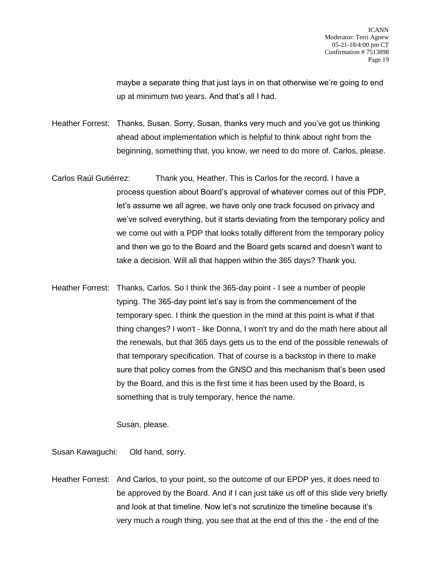maybe a separate thing that just lays in on that otherwise we're going to end up at minimum two years. And that's all I had.

Heather Forrest: Thanks, Susan. Sorry, Susan, thanks very much and you've got us thinking ahead about implementation which is helpful to think about right from the beginning, something that, you know, we need to do more of. Carlos, please.

- Carlos Raúl Gutiérrez: Thank you, Heather. This is Carlos for the record. I have a process question about Board's approval of whatever comes out of this PDP, let's assume we all agree, we have only one track focused on privacy and we've solved everything, but it starts deviating from the temporary policy and we come out with a PDP that looks totally different from the temporary policy and then we go to the Board and the Board gets scared and doesn't want to take a decision. Will all that happen within the 365 days? Thank you.
- Heather Forrest: Thanks, Carlos. So I think the 365-day point I see a number of people typing. The 365-day point let's say is from the commencement of the temporary spec. I think the question in the mind at this point is what if that thing changes? I won't - like Donna, I won't try and do the math here about all the renewals, but that 365 days gets us to the end of the possible renewals of that temporary specification. That of course is a backstop in there to make sure that policy comes from the GNSO and this mechanism that's been used by the Board, and this is the first time it has been used by the Board, is something that is truly temporary, hence the name.

Susan, please.

Susan Kawaguchi: Old hand, sorry.

Heather Forrest: And Carlos, to your point, so the outcome of our EPDP yes, it does need to be approved by the Board. And if I can just take us off of this slide very briefly and look at that timeline. Now let's not scrutinize the timeline because it's very much a rough thing, you see that at the end of this the - the end of the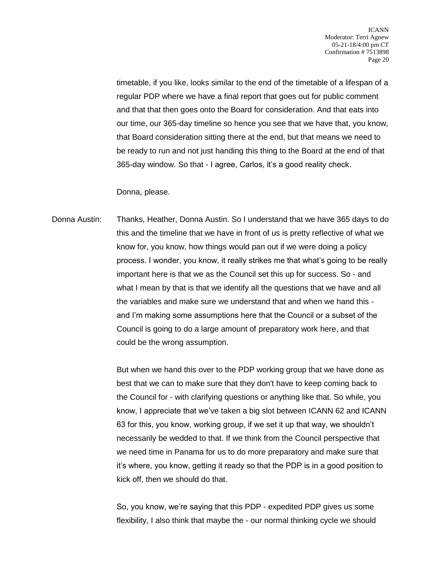timetable, if you like, looks similar to the end of the timetable of a lifespan of a regular PDP where we have a final report that goes out for public comment and that that then goes onto the Board for consideration. And that eats into our time, our 365-day timeline so hence you see that we have that, you know, that Board consideration sitting there at the end, but that means we need to be ready to run and not just handing this thing to the Board at the end of that 365-day window. So that - I agree, Carlos, it's a good reality check.

Donna, please.

Donna Austin: Thanks, Heather, Donna Austin. So I understand that we have 365 days to do this and the timeline that we have in front of us is pretty reflective of what we know for, you know, how things would pan out if we were doing a policy process. I wonder, you know, it really strikes me that what's going to be really important here is that we as the Council set this up for success. So - and what I mean by that is that we identify all the questions that we have and all the variables and make sure we understand that and when we hand this and I'm making some assumptions here that the Council or a subset of the Council is going to do a large amount of preparatory work here, and that could be the wrong assumption.

> But when we hand this over to the PDP working group that we have done as best that we can to make sure that they don't have to keep coming back to the Council for - with clarifying questions or anything like that. So while, you know, I appreciate that we've taken a big slot between ICANN 62 and ICANN 63 for this, you know, working group, if we set it up that way, we shouldn't necessarily be wedded to that. If we think from the Council perspective that we need time in Panama for us to do more preparatory and make sure that it's where, you know, getting it ready so that the PDP is in a good position to kick off, then we should do that.

So, you know, we're saying that this PDP - expedited PDP gives us some flexibility, I also think that maybe the - our normal thinking cycle we should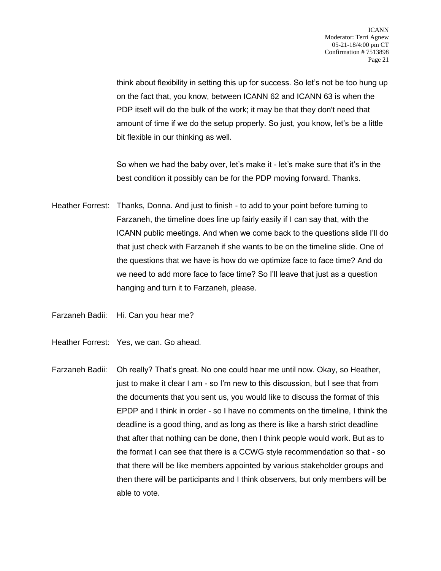think about flexibility in setting this up for success. So let's not be too hung up on the fact that, you know, between ICANN 62 and ICANN 63 is when the PDP itself will do the bulk of the work; it may be that they don't need that amount of time if we do the setup properly. So just, you know, let's be a little bit flexible in our thinking as well.

So when we had the baby over, let's make it - let's make sure that it's in the best condition it possibly can be for the PDP moving forward. Thanks.

Heather Forrest: Thanks, Donna. And just to finish - to add to your point before turning to Farzaneh, the timeline does line up fairly easily if I can say that, with the ICANN public meetings. And when we come back to the questions slide I'll do that just check with Farzaneh if she wants to be on the timeline slide. One of the questions that we have is how do we optimize face to face time? And do we need to add more face to face time? So I'll leave that just as a question hanging and turn it to Farzaneh, please.

Farzaneh Badii: Hi. Can you hear me?

- Heather Forrest: Yes, we can. Go ahead.
- Farzaneh Badii: Oh really? That's great. No one could hear me until now. Okay, so Heather, just to make it clear I am - so I'm new to this discussion, but I see that from the documents that you sent us, you would like to discuss the format of this EPDP and I think in order - so I have no comments on the timeline, I think the deadline is a good thing, and as long as there is like a harsh strict deadline that after that nothing can be done, then I think people would work. But as to the format I can see that there is a CCWG style recommendation so that - so that there will be like members appointed by various stakeholder groups and then there will be participants and I think observers, but only members will be able to vote.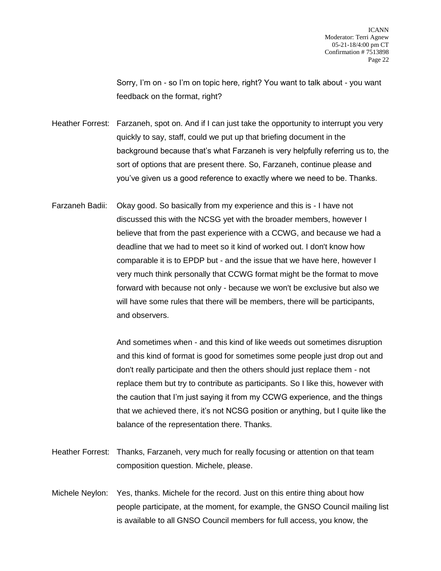Sorry, I'm on - so I'm on topic here, right? You want to talk about - you want feedback on the format, right?

Heather Forrest: Farzaneh, spot on. And if I can just take the opportunity to interrupt you very quickly to say, staff, could we put up that briefing document in the background because that's what Farzaneh is very helpfully referring us to, the sort of options that are present there. So, Farzaneh, continue please and you've given us a good reference to exactly where we need to be. Thanks.

Farzaneh Badii: Okay good. So basically from my experience and this is - I have not discussed this with the NCSG yet with the broader members, however I believe that from the past experience with a CCWG, and because we had a deadline that we had to meet so it kind of worked out. I don't know how comparable it is to EPDP but - and the issue that we have here, however I very much think personally that CCWG format might be the format to move forward with because not only - because we won't be exclusive but also we will have some rules that there will be members, there will be participants, and observers.

> And sometimes when - and this kind of like weeds out sometimes disruption and this kind of format is good for sometimes some people just drop out and don't really participate and then the others should just replace them - not replace them but try to contribute as participants. So I like this, however with the caution that I'm just saying it from my CCWG experience, and the things that we achieved there, it's not NCSG position or anything, but I quite like the balance of the representation there. Thanks.

- Heather Forrest: Thanks, Farzaneh, very much for really focusing or attention on that team composition question. Michele, please.
- Michele Neylon: Yes, thanks. Michele for the record. Just on this entire thing about how people participate, at the moment, for example, the GNSO Council mailing list is available to all GNSO Council members for full access, you know, the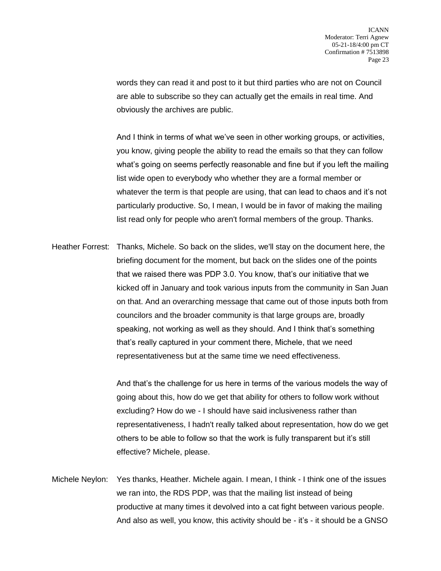words they can read it and post to it but third parties who are not on Council are able to subscribe so they can actually get the emails in real time. And obviously the archives are public.

And I think in terms of what we've seen in other working groups, or activities, you know, giving people the ability to read the emails so that they can follow what's going on seems perfectly reasonable and fine but if you left the mailing list wide open to everybody who whether they are a formal member or whatever the term is that people are using, that can lead to chaos and it's not particularly productive. So, I mean, I would be in favor of making the mailing list read only for people who aren't formal members of the group. Thanks.

Heather Forrest: Thanks, Michele. So back on the slides, we'll stay on the document here, the briefing document for the moment, but back on the slides one of the points that we raised there was PDP 3.0. You know, that's our initiative that we kicked off in January and took various inputs from the community in San Juan on that. And an overarching message that came out of those inputs both from councilors and the broader community is that large groups are, broadly speaking, not working as well as they should. And I think that's something that's really captured in your comment there, Michele, that we need representativeness but at the same time we need effectiveness.

> And that's the challenge for us here in terms of the various models the way of going about this, how do we get that ability for others to follow work without excluding? How do we - I should have said inclusiveness rather than representativeness, I hadn't really talked about representation, how do we get others to be able to follow so that the work is fully transparent but it's still effective? Michele, please.

Michele Neylon: Yes thanks, Heather. Michele again. I mean, I think - I think one of the issues we ran into, the RDS PDP, was that the mailing list instead of being productive at many times it devolved into a cat fight between various people. And also as well, you know, this activity should be - it's - it should be a GNSO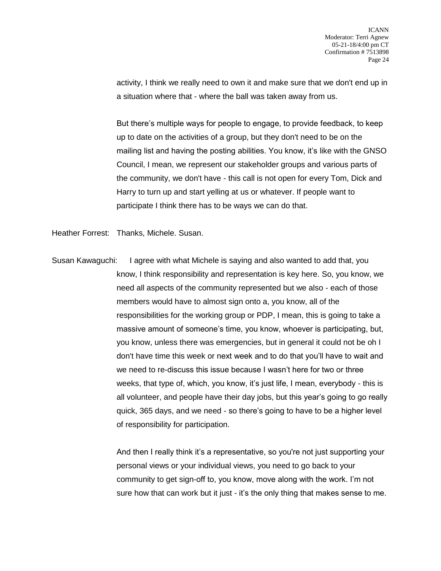activity, I think we really need to own it and make sure that we don't end up in a situation where that - where the ball was taken away from us.

But there's multiple ways for people to engage, to provide feedback, to keep up to date on the activities of a group, but they don't need to be on the mailing list and having the posting abilities. You know, it's like with the GNSO Council, I mean, we represent our stakeholder groups and various parts of the community, we don't have - this call is not open for every Tom, Dick and Harry to turn up and start yelling at us or whatever. If people want to participate I think there has to be ways we can do that.

Heather Forrest: Thanks, Michele. Susan.

Susan Kawaguchi: I agree with what Michele is saying and also wanted to add that, you know, I think responsibility and representation is key here. So, you know, we need all aspects of the community represented but we also - each of those members would have to almost sign onto a, you know, all of the responsibilities for the working group or PDP, I mean, this is going to take a massive amount of someone's time, you know, whoever is participating, but, you know, unless there was emergencies, but in general it could not be oh I don't have time this week or next week and to do that you'll have to wait and we need to re-discuss this issue because I wasn't here for two or three weeks, that type of, which, you know, it's just life, I mean, everybody - this is all volunteer, and people have their day jobs, but this year's going to go really quick, 365 days, and we need - so there's going to have to be a higher level of responsibility for participation.

> And then I really think it's a representative, so you're not just supporting your personal views or your individual views, you need to go back to your community to get sign-off to, you know, move along with the work. I'm not sure how that can work but it just - it's the only thing that makes sense to me.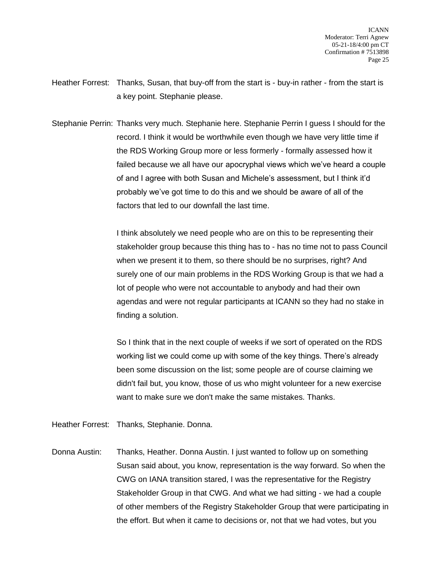- Heather Forrest: Thanks, Susan, that buy-off from the start is buy-in rather from the start is a key point. Stephanie please.
- Stephanie Perrin: Thanks very much. Stephanie here. Stephanie Perrin I guess I should for the record. I think it would be worthwhile even though we have very little time if the RDS Working Group more or less formerly - formally assessed how it failed because we all have our apocryphal views which we've heard a couple of and I agree with both Susan and Michele's assessment, but I think it'd probably we've got time to do this and we should be aware of all of the factors that led to our downfall the last time.

I think absolutely we need people who are on this to be representing their stakeholder group because this thing has to - has no time not to pass Council when we present it to them, so there should be no surprises, right? And surely one of our main problems in the RDS Working Group is that we had a lot of people who were not accountable to anybody and had their own agendas and were not regular participants at ICANN so they had no stake in finding a solution.

So I think that in the next couple of weeks if we sort of operated on the RDS working list we could come up with some of the key things. There's already been some discussion on the list; some people are of course claiming we didn't fail but, you know, those of us who might volunteer for a new exercise want to make sure we don't make the same mistakes. Thanks.

Heather Forrest: Thanks, Stephanie. Donna.

Donna Austin: Thanks, Heather. Donna Austin. I just wanted to follow up on something Susan said about, you know, representation is the way forward. So when the CWG on IANA transition stared, I was the representative for the Registry Stakeholder Group in that CWG. And what we had sitting - we had a couple of other members of the Registry Stakeholder Group that were participating in the effort. But when it came to decisions or, not that we had votes, but you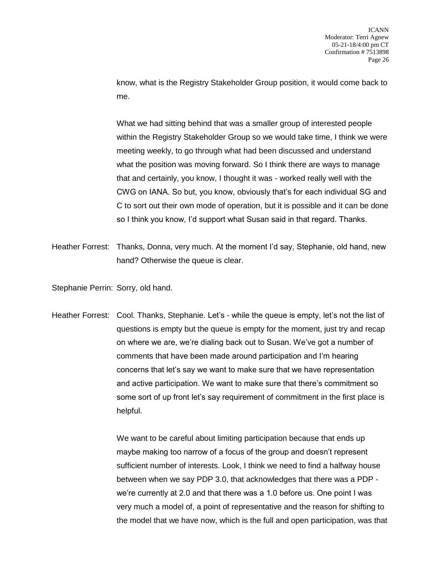know, what is the Registry Stakeholder Group position, it would come back to me.

What we had sitting behind that was a smaller group of interested people within the Registry Stakeholder Group so we would take time, I think we were meeting weekly, to go through what had been discussed and understand what the position was moving forward. So I think there are ways to manage that and certainly, you know, I thought it was - worked really well with the CWG on IANA. So but, you know, obviously that's for each individual SG and C to sort out their own mode of operation, but it is possible and it can be done so I think you know, I'd support what Susan said in that regard. Thanks.

- Heather Forrest: Thanks, Donna, very much. At the moment I'd say, Stephanie, old hand, new hand? Otherwise the queue is clear.
- Stephanie Perrin: Sorry, old hand.
- Heather Forrest: Cool. Thanks, Stephanie. Let's while the queue is empty, let's not the list of questions is empty but the queue is empty for the moment, just try and recap on where we are, we're dialing back out to Susan. We've got a number of comments that have been made around participation and I'm hearing concerns that let's say we want to make sure that we have representation and active participation. We want to make sure that there's commitment so some sort of up front let's say requirement of commitment in the first place is helpful.

We want to be careful about limiting participation because that ends up maybe making too narrow of a focus of the group and doesn't represent sufficient number of interests. Look, I think we need to find a halfway house between when we say PDP 3.0, that acknowledges that there was a PDP we're currently at 2.0 and that there was a 1.0 before us. One point I was very much a model of, a point of representative and the reason for shifting to the model that we have now, which is the full and open participation, was that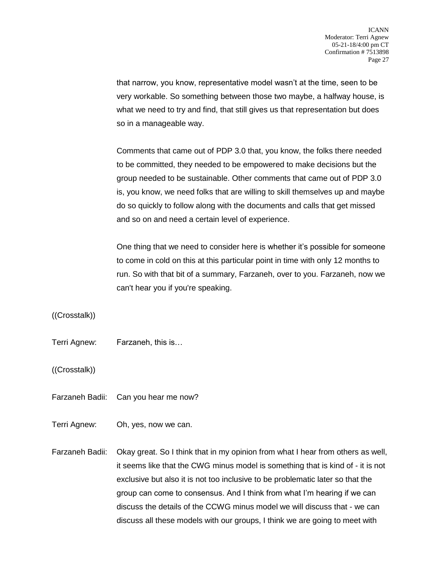that narrow, you know, representative model wasn't at the time, seen to be very workable. So something between those two maybe, a halfway house, is what we need to try and find, that still gives us that representation but does so in a manageable way.

Comments that came out of PDP 3.0 that, you know, the folks there needed to be committed, they needed to be empowered to make decisions but the group needed to be sustainable. Other comments that came out of PDP 3.0 is, you know, we need folks that are willing to skill themselves up and maybe do so quickly to follow along with the documents and calls that get missed and so on and need a certain level of experience.

One thing that we need to consider here is whether it's possible for someone to come in cold on this at this particular point in time with only 12 months to run. So with that bit of a summary, Farzaneh, over to you. Farzaneh, now we can't hear you if you're speaking.

((Crosstalk))

Terri Agnew: Farzaneh, this is…

((Crosstalk))

- Farzaneh Badii: Can you hear me now?
- Terri Agnew: Oh, yes, now we can.
- Farzaneh Badii: Okay great. So I think that in my opinion from what I hear from others as well, it seems like that the CWG minus model is something that is kind of - it is not exclusive but also it is not too inclusive to be problematic later so that the group can come to consensus. And I think from what I'm hearing if we can discuss the details of the CCWG minus model we will discuss that - we can discuss all these models with our groups, I think we are going to meet with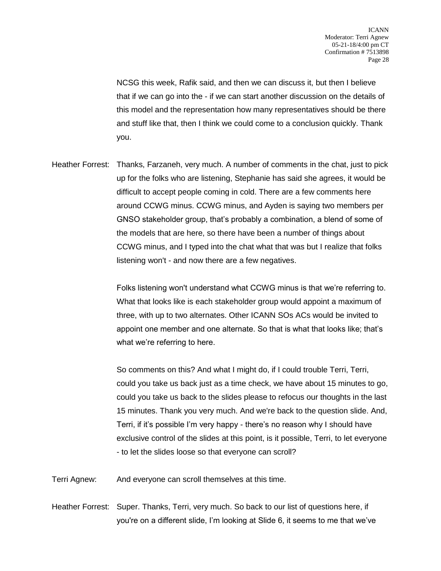NCSG this week, Rafik said, and then we can discuss it, but then I believe that if we can go into the - if we can start another discussion on the details of this model and the representation how many representatives should be there and stuff like that, then I think we could come to a conclusion quickly. Thank you.

Heather Forrest: Thanks, Farzaneh, very much. A number of comments in the chat, just to pick up for the folks who are listening, Stephanie has said she agrees, it would be difficult to accept people coming in cold. There are a few comments here around CCWG minus. CCWG minus, and Ayden is saying two members per GNSO stakeholder group, that's probably a combination, a blend of some of the models that are here, so there have been a number of things about CCWG minus, and I typed into the chat what that was but I realize that folks listening won't - and now there are a few negatives.

> Folks listening won't understand what CCWG minus is that we're referring to. What that looks like is each stakeholder group would appoint a maximum of three, with up to two alternates. Other ICANN SOs ACs would be invited to appoint one member and one alternate. So that is what that looks like; that's what we're referring to here.

> So comments on this? And what I might do, if I could trouble Terri, Terri, could you take us back just as a time check, we have about 15 minutes to go, could you take us back to the slides please to refocus our thoughts in the last 15 minutes. Thank you very much. And we're back to the question slide. And, Terri, if it's possible I'm very happy - there's no reason why I should have exclusive control of the slides at this point, is it possible, Terri, to let everyone - to let the slides loose so that everyone can scroll?

Terri Agnew: And everyone can scroll themselves at this time.

Heather Forrest: Super. Thanks, Terri, very much. So back to our list of questions here, if you're on a different slide, I'm looking at Slide 6, it seems to me that we've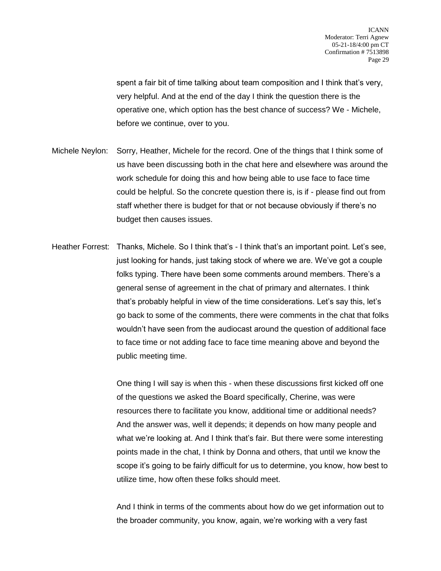spent a fair bit of time talking about team composition and I think that's very, very helpful. And at the end of the day I think the question there is the operative one, which option has the best chance of success? We - Michele, before we continue, over to you.

- Michele Neylon: Sorry, Heather, Michele for the record. One of the things that I think some of us have been discussing both in the chat here and elsewhere was around the work schedule for doing this and how being able to use face to face time could be helpful. So the concrete question there is, is if - please find out from staff whether there is budget for that or not because obviously if there's no budget then causes issues.
- Heather Forrest: Thanks, Michele. So I think that's I think that's an important point. Let's see, just looking for hands, just taking stock of where we are. We've got a couple folks typing. There have been some comments around members. There's a general sense of agreement in the chat of primary and alternates. I think that's probably helpful in view of the time considerations. Let's say this, let's go back to some of the comments, there were comments in the chat that folks wouldn't have seen from the audiocast around the question of additional face to face time or not adding face to face time meaning above and beyond the public meeting time.

One thing I will say is when this - when these discussions first kicked off one of the questions we asked the Board specifically, Cherine, was were resources there to facilitate you know, additional time or additional needs? And the answer was, well it depends; it depends on how many people and what we're looking at. And I think that's fair. But there were some interesting points made in the chat, I think by Donna and others, that until we know the scope it's going to be fairly difficult for us to determine, you know, how best to utilize time, how often these folks should meet.

And I think in terms of the comments about how do we get information out to the broader community, you know, again, we're working with a very fast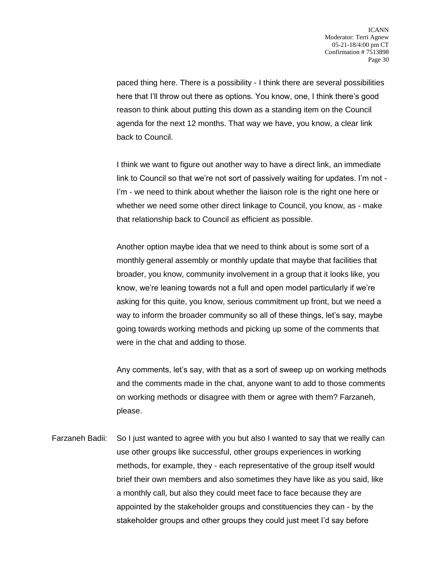paced thing here. There is a possibility - I think there are several possibilities here that I'll throw out there as options. You know, one, I think there's good reason to think about putting this down as a standing item on the Council agenda for the next 12 months. That way we have, you know, a clear link back to Council.

I think we want to figure out another way to have a direct link, an immediate link to Council so that we're not sort of passively waiting for updates. I'm not - I'm - we need to think about whether the liaison role is the right one here or whether we need some other direct linkage to Council, you know, as - make that relationship back to Council as efficient as possible.

Another option maybe idea that we need to think about is some sort of a monthly general assembly or monthly update that maybe that facilities that broader, you know, community involvement in a group that it looks like, you know, we're leaning towards not a full and open model particularly if we're asking for this quite, you know, serious commitment up front, but we need a way to inform the broader community so all of these things, let's say, maybe going towards working methods and picking up some of the comments that were in the chat and adding to those.

Any comments, let's say, with that as a sort of sweep up on working methods and the comments made in the chat, anyone want to add to those comments on working methods or disagree with them or agree with them? Farzaneh, please.

Farzaneh Badii: So I just wanted to agree with you but also I wanted to say that we really can use other groups like successful, other groups experiences in working methods, for example, they - each representative of the group itself would brief their own members and also sometimes they have like as you said, like a monthly call, but also they could meet face to face because they are appointed by the stakeholder groups and constituencies they can - by the stakeholder groups and other groups they could just meet I'd say before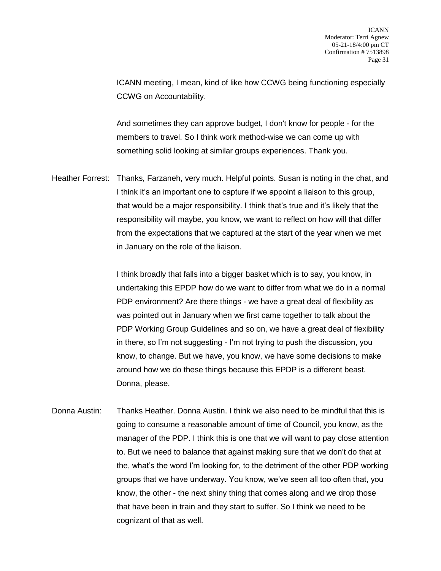ICANN meeting, I mean, kind of like how CCWG being functioning especially CCWG on Accountability.

And sometimes they can approve budget, I don't know for people - for the members to travel. So I think work method-wise we can come up with something solid looking at similar groups experiences. Thank you.

Heather Forrest: Thanks, Farzaneh, very much. Helpful points. Susan is noting in the chat, and I think it's an important one to capture if we appoint a liaison to this group, that would be a major responsibility. I think that's true and it's likely that the responsibility will maybe, you know, we want to reflect on how will that differ from the expectations that we captured at the start of the year when we met in January on the role of the liaison.

> I think broadly that falls into a bigger basket which is to say, you know, in undertaking this EPDP how do we want to differ from what we do in a normal PDP environment? Are there things - we have a great deal of flexibility as was pointed out in January when we first came together to talk about the PDP Working Group Guidelines and so on, we have a great deal of flexibility in there, so I'm not suggesting - I'm not trying to push the discussion, you know, to change. But we have, you know, we have some decisions to make around how we do these things because this EPDP is a different beast. Donna, please.

Donna Austin: Thanks Heather. Donna Austin. I think we also need to be mindful that this is going to consume a reasonable amount of time of Council, you know, as the manager of the PDP. I think this is one that we will want to pay close attention to. But we need to balance that against making sure that we don't do that at the, what's the word I'm looking for, to the detriment of the other PDP working groups that we have underway. You know, we've seen all too often that, you know, the other - the next shiny thing that comes along and we drop those that have been in train and they start to suffer. So I think we need to be cognizant of that as well.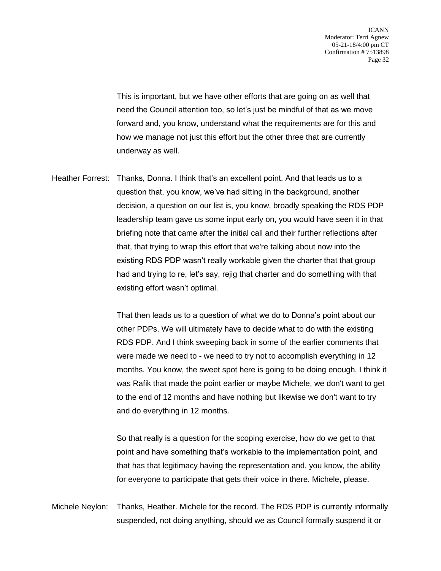This is important, but we have other efforts that are going on as well that need the Council attention too, so let's just be mindful of that as we move forward and, you know, understand what the requirements are for this and how we manage not just this effort but the other three that are currently underway as well.

Heather Forrest: Thanks, Donna. I think that's an excellent point. And that leads us to a question that, you know, we've had sitting in the background, another decision, a question on our list is, you know, broadly speaking the RDS PDP leadership team gave us some input early on, you would have seen it in that briefing note that came after the initial call and their further reflections after that, that trying to wrap this effort that we're talking about now into the existing RDS PDP wasn't really workable given the charter that that group had and trying to re, let's say, rejig that charter and do something with that existing effort wasn't optimal.

> That then leads us to a question of what we do to Donna's point about our other PDPs. We will ultimately have to decide what to do with the existing RDS PDP. And I think sweeping back in some of the earlier comments that were made we need to - we need to try not to accomplish everything in 12 months. You know, the sweet spot here is going to be doing enough, I think it was Rafik that made the point earlier or maybe Michele, we don't want to get to the end of 12 months and have nothing but likewise we don't want to try and do everything in 12 months.

So that really is a question for the scoping exercise, how do we get to that point and have something that's workable to the implementation point, and that has that legitimacy having the representation and, you know, the ability for everyone to participate that gets their voice in there. Michele, please.

Michele Neylon: Thanks, Heather. Michele for the record. The RDS PDP is currently informally suspended, not doing anything, should we as Council formally suspend it or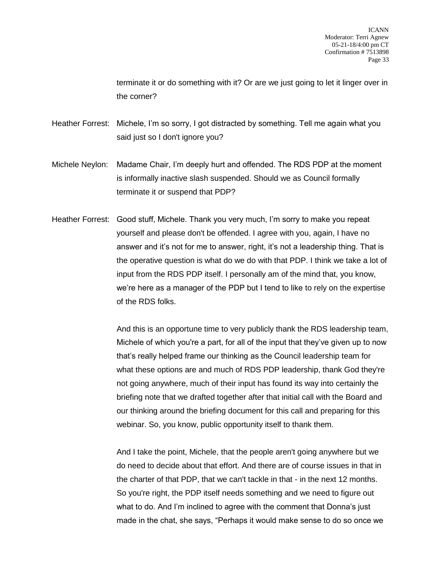terminate it or do something with it? Or are we just going to let it linger over in the corner?

Heather Forrest: Michele, I'm so sorry, I got distracted by something. Tell me again what you said just so I don't ignore you?

- Michele Neylon: Madame Chair, I'm deeply hurt and offended. The RDS PDP at the moment is informally inactive slash suspended. Should we as Council formally terminate it or suspend that PDP?
- Heather Forrest: Good stuff, Michele. Thank you very much, I'm sorry to make you repeat yourself and please don't be offended. I agree with you, again, I have no answer and it's not for me to answer, right, it's not a leadership thing. That is the operative question is what do we do with that PDP. I think we take a lot of input from the RDS PDP itself. I personally am of the mind that, you know, we're here as a manager of the PDP but I tend to like to rely on the expertise of the RDS folks.

And this is an opportune time to very publicly thank the RDS leadership team, Michele of which you're a part, for all of the input that they've given up to now that's really helped frame our thinking as the Council leadership team for what these options are and much of RDS PDP leadership, thank God they're not going anywhere, much of their input has found its way into certainly the briefing note that we drafted together after that initial call with the Board and our thinking around the briefing document for this call and preparing for this webinar. So, you know, public opportunity itself to thank them.

And I take the point, Michele, that the people aren't going anywhere but we do need to decide about that effort. And there are of course issues in that in the charter of that PDP, that we can't tackle in that - in the next 12 months. So you're right, the PDP itself needs something and we need to figure out what to do. And I'm inclined to agree with the comment that Donna's just made in the chat, she says, "Perhaps it would make sense to do so once we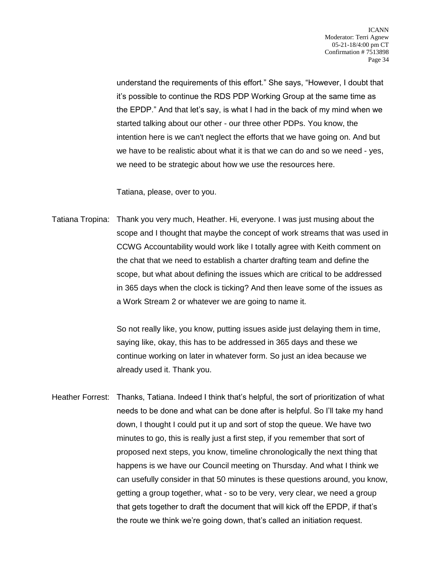understand the requirements of this effort." She says, "However, I doubt that it's possible to continue the RDS PDP Working Group at the same time as the EPDP." And that let's say, is what I had in the back of my mind when we started talking about our other - our three other PDPs. You know, the intention here is we can't neglect the efforts that we have going on. And but we have to be realistic about what it is that we can do and so we need - yes, we need to be strategic about how we use the resources here.

Tatiana, please, over to you.

Tatiana Tropina: Thank you very much, Heather. Hi, everyone. I was just musing about the scope and I thought that maybe the concept of work streams that was used in CCWG Accountability would work like I totally agree with Keith comment on the chat that we need to establish a charter drafting team and define the scope, but what about defining the issues which are critical to be addressed in 365 days when the clock is ticking? And then leave some of the issues as a Work Stream 2 or whatever we are going to name it.

> So not really like, you know, putting issues aside just delaying them in time, saying like, okay, this has to be addressed in 365 days and these we continue working on later in whatever form. So just an idea because we already used it. Thank you.

Heather Forrest: Thanks, Tatiana. Indeed I think that's helpful, the sort of prioritization of what needs to be done and what can be done after is helpful. So I'll take my hand down, I thought I could put it up and sort of stop the queue. We have two minutes to go, this is really just a first step, if you remember that sort of proposed next steps, you know, timeline chronologically the next thing that happens is we have our Council meeting on Thursday. And what I think we can usefully consider in that 50 minutes is these questions around, you know, getting a group together, what - so to be very, very clear, we need a group that gets together to draft the document that will kick off the EPDP, if that's the route we think we're going down, that's called an initiation request.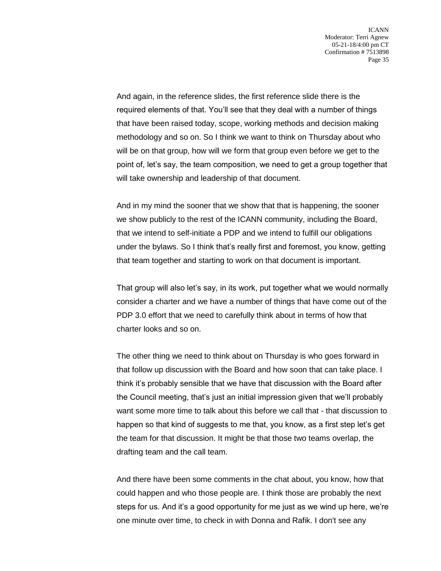And again, in the reference slides, the first reference slide there is the required elements of that. You'll see that they deal with a number of things that have been raised today, scope, working methods and decision making methodology and so on. So I think we want to think on Thursday about who will be on that group, how will we form that group even before we get to the point of, let's say, the team composition, we need to get a group together that will take ownership and leadership of that document.

And in my mind the sooner that we show that that is happening, the sooner we show publicly to the rest of the ICANN community, including the Board, that we intend to self-initiate a PDP and we intend to fulfill our obligations under the bylaws. So I think that's really first and foremost, you know, getting that team together and starting to work on that document is important.

That group will also let's say, in its work, put together what we would normally consider a charter and we have a number of things that have come out of the PDP 3.0 effort that we need to carefully think about in terms of how that charter looks and so on.

The other thing we need to think about on Thursday is who goes forward in that follow up discussion with the Board and how soon that can take place. I think it's probably sensible that we have that discussion with the Board after the Council meeting, that's just an initial impression given that we'll probably want some more time to talk about this before we call that - that discussion to happen so that kind of suggests to me that, you know, as a first step let's get the team for that discussion. It might be that those two teams overlap, the drafting team and the call team.

And there have been some comments in the chat about, you know, how that could happen and who those people are. I think those are probably the next steps for us. And it's a good opportunity for me just as we wind up here, we're one minute over time, to check in with Donna and Rafik. I don't see any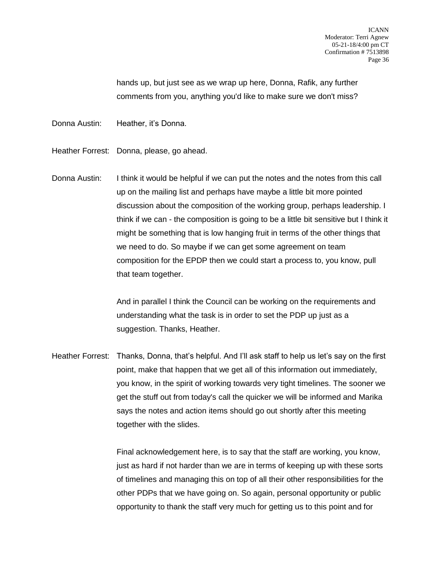hands up, but just see as we wrap up here, Donna, Rafik, any further comments from you, anything you'd like to make sure we don't miss?

Donna Austin: Heather, it's Donna.

Heather Forrest: Donna, please, go ahead.

Donna Austin: I think it would be helpful if we can put the notes and the notes from this call up on the mailing list and perhaps have maybe a little bit more pointed discussion about the composition of the working group, perhaps leadership. I think if we can - the composition is going to be a little bit sensitive but I think it might be something that is low hanging fruit in terms of the other things that we need to do. So maybe if we can get some agreement on team composition for the EPDP then we could start a process to, you know, pull that team together.

> And in parallel I think the Council can be working on the requirements and understanding what the task is in order to set the PDP up just as a suggestion. Thanks, Heather.

Heather Forrest: Thanks, Donna, that's helpful. And I'll ask staff to help us let's say on the first point, make that happen that we get all of this information out immediately, you know, in the spirit of working towards very tight timelines. The sooner we get the stuff out from today's call the quicker we will be informed and Marika says the notes and action items should go out shortly after this meeting together with the slides.

> Final acknowledgement here, is to say that the staff are working, you know, just as hard if not harder than we are in terms of keeping up with these sorts of timelines and managing this on top of all their other responsibilities for the other PDPs that we have going on. So again, personal opportunity or public opportunity to thank the staff very much for getting us to this point and for